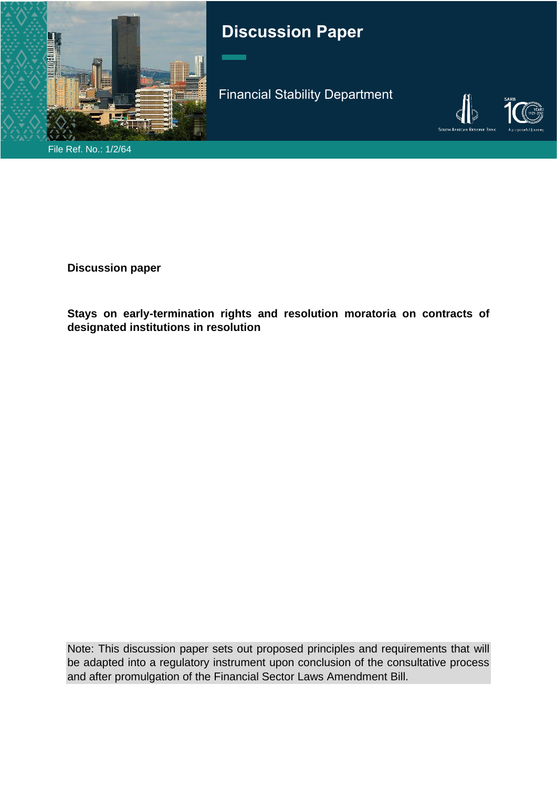

# **Discussion Paper**

Financial Stability Department



File Ref. No.: 1/2/64

**Discussion paper**

**Stays on early-termination rights and resolution moratoria on contracts of designated institutions in resolution**

Note: This discussion paper sets out proposed principles and requirements that will be adapted into a regulatory instrument upon conclusion of the consultative process and after promulgation of the Financial Sector Laws Amendment Bill.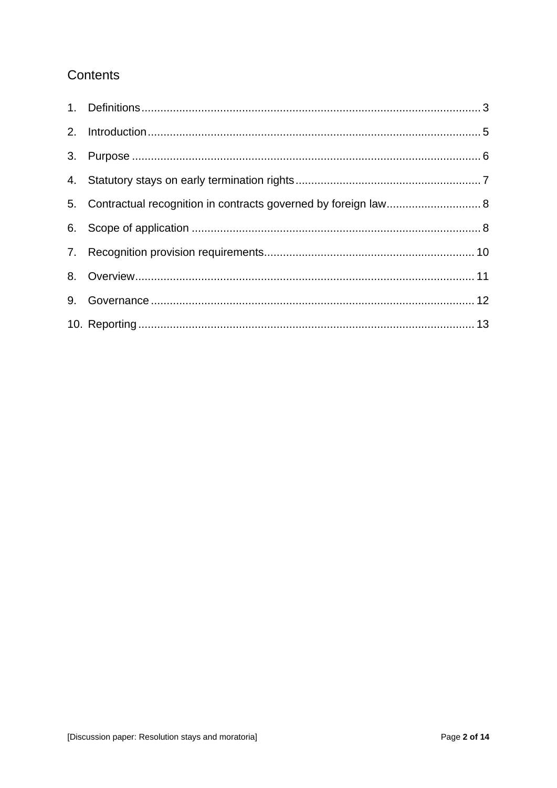# Contents

| 5. Contractual recognition in contracts governed by foreign law 8 |  |
|-------------------------------------------------------------------|--|
|                                                                   |  |
|                                                                   |  |
|                                                                   |  |
|                                                                   |  |
|                                                                   |  |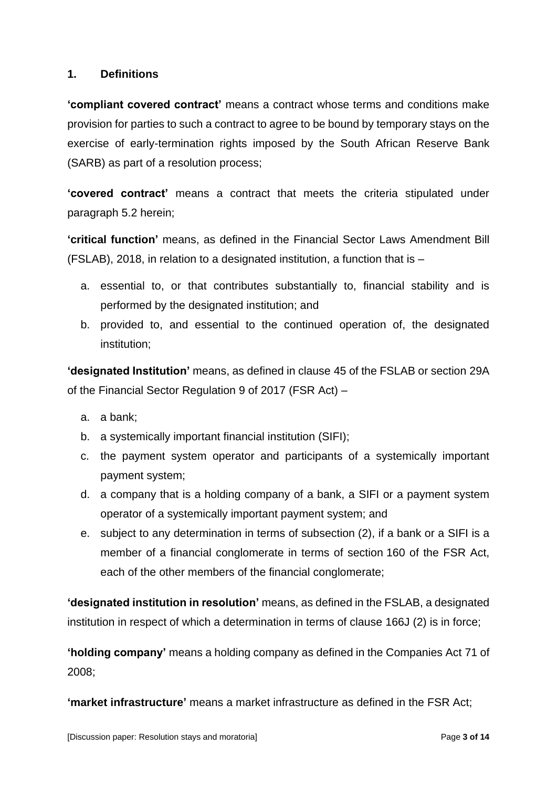#### <span id="page-2-0"></span>**1. Definitions**

**'compliant covered contract'** means a contract whose terms and conditions make provision for parties to such a contract to agree to be bound by temporary stays on the exercise of early-termination rights imposed by the South African Reserve Bank (SARB) as part of a resolution process;

**'covered contract'** means a contract that meets the criteria stipulated under paragraph 5.2 herein;

**'critical function'** means, as defined in the Financial Sector Laws Amendment Bill (FSLAB), 2018, in relation to a designated institution, a function that is –

- a. essential to, or that contributes substantially to, financial stability and is performed by the designated institution; and
- b. provided to, and essential to the continued operation of, the designated institution;

**'designated Institution'** means, as defined in clause 45 of the FSLAB or section 29A of the Financial Sector Regulation 9 of 2017 (FSR Act) –

- a. a bank;
- b. a systemically important financial institution (SIFI);
- c. the payment system operator and participants of a systemically important payment system;
- d. a company that is a holding company of a bank, a SIFI or a payment system operator of a systemically important payment system; and
- e. subject to any determination in terms of subsection (2), if a bank or a SIFI is a member of a financial conglomerate in terms of section 160 of the FSR Act, each of the other members of the financial conglomerate;

**'designated institution in resolution'** means, as defined in the FSLAB, a designated institution in respect of which a determination in terms of clause 166J (2) is in force;

**'holding company'** means a holding company as defined in the Companies Act 71 of 2008;

**'market infrastructure'** means a market infrastructure as defined in the FSR Act;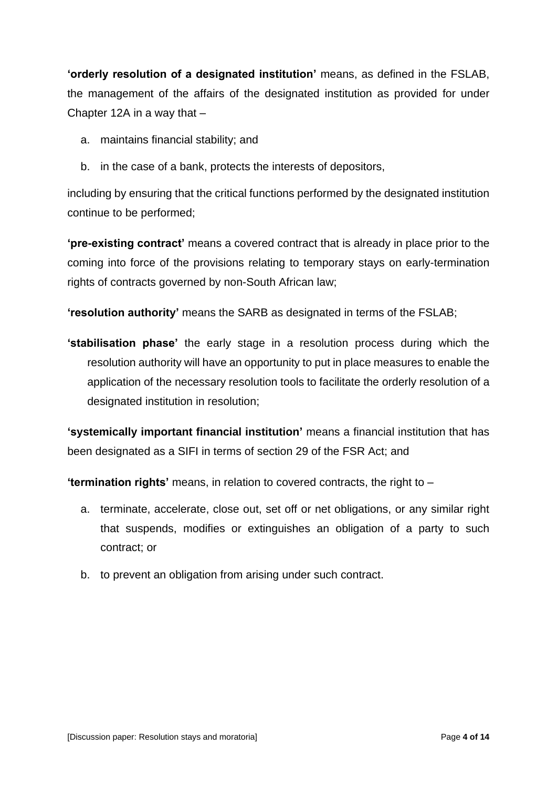**'orderly resolution of a designated institution'** means, as defined in the FSLAB, the management of the affairs of the designated institution as provided for under Chapter 12A in a way that  $-$ 

- a. maintains financial stability; and
- b. in the case of a bank, protects the interests of depositors,

including by ensuring that the critical functions performed by the designated institution continue to be performed;

**'pre-existing contract'** means a covered contract that is already in place prior to the coming into force of the provisions relating to temporary stays on early-termination rights of contracts governed by non-South African law;

**'resolution authority'** means the SARB as designated in terms of the FSLAB;

**'stabilisation phase'** the early stage in a resolution process during which the resolution authority will have an opportunity to put in place measures to enable the application of the necessary resolution tools to facilitate the orderly resolution of a designated institution in resolution;

**'systemically important financial institution'** means a financial institution that has been designated as a SIFI in terms of section 29 of the FSR Act; and

**'termination rights'** means, in relation to covered contracts, the right to ‒

- a. terminate, accelerate, close out, set off or net obligations, or any similar right that suspends, modifies or extinguishes an obligation of a party to such contract; or
- b. to prevent an obligation from arising under such contract.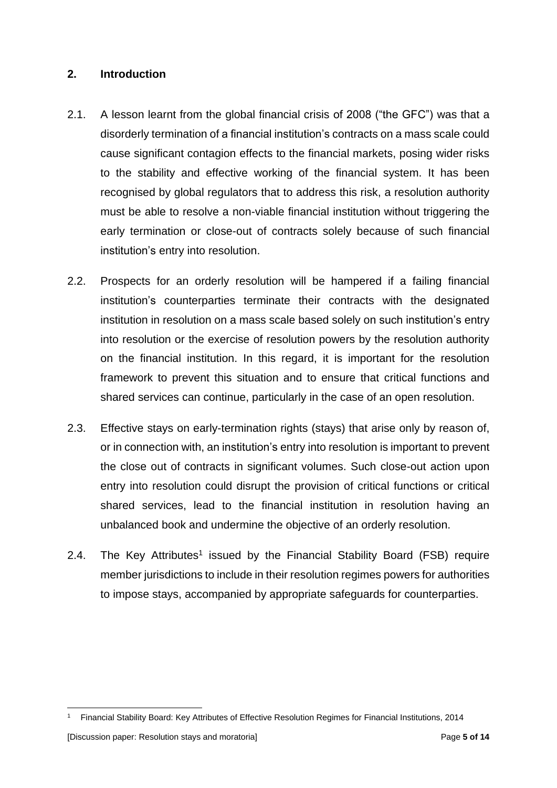#### <span id="page-4-0"></span>**2. Introduction**

- 2.1. A lesson learnt from the global financial crisis of 2008 ("the GFC") was that a disorderly termination of a financial institution's contracts on a mass scale could cause significant contagion effects to the financial markets, posing wider risks to the stability and effective working of the financial system. It has been recognised by global regulators that to address this risk, a resolution authority must be able to resolve a non-viable financial institution without triggering the early termination or close-out of contracts solely because of such financial institution's entry into resolution.
- 2.2. Prospects for an orderly resolution will be hampered if a failing financial institution's counterparties terminate their contracts with the designated institution in resolution on a mass scale based solely on such institution's entry into resolution or the exercise of resolution powers by the resolution authority on the financial institution. In this regard, it is important for the resolution framework to prevent this situation and to ensure that critical functions and shared services can continue, particularly in the case of an open resolution.
- 2.3. Effective stays on early-termination rights (stays) that arise only by reason of, or in connection with, an institution's entry into resolution is important to prevent the close out of contracts in significant volumes. Such close-out action upon entry into resolution could disrupt the provision of critical functions or critical shared services, lead to the financial institution in resolution having an unbalanced book and undermine the objective of an orderly resolution.
- 2.4. The Key Attributes<sup>1</sup> issued by the Financial Stability Board (FSB) require member jurisdictions to include in their resolution regimes powers for authorities to impose stays, accompanied by appropriate safeguards for counterparties.

<sup>1</sup> Financial Stability Board: Key Attributes of Effective Resolution Regimes for Financial Institutions, 2014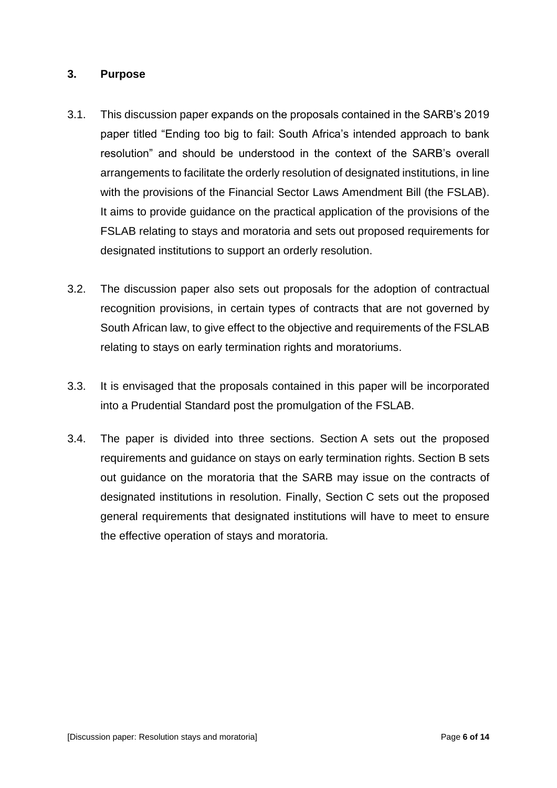#### <span id="page-5-0"></span>**3. Purpose**

- 3.1. This discussion paper expands on the proposals contained in the SARB's 2019 paper titled "Ending too big to fail: South Africa's intended approach to bank resolution" and should be understood in the context of the SARB's overall arrangements to facilitate the orderly resolution of designated institutions, in line with the provisions of the Financial Sector Laws Amendment Bill (the FSLAB). It aims to provide guidance on the practical application of the provisions of the FSLAB relating to stays and moratoria and sets out proposed requirements for designated institutions to support an orderly resolution.
- 3.2. The discussion paper also sets out proposals for the adoption of contractual recognition provisions, in certain types of contracts that are not governed by South African law, to give effect to the objective and requirements of the FSLAB relating to stays on early termination rights and moratoriums.
- 3.3. It is envisaged that the proposals contained in this paper will be incorporated into a Prudential Standard post the promulgation of the FSLAB.
- 3.4. The paper is divided into three sections. Section A sets out the proposed requirements and guidance on stays on early termination rights. Section B sets out guidance on the moratoria that the SARB may issue on the contracts of designated institutions in resolution. Finally, Section C sets out the proposed general requirements that designated institutions will have to meet to ensure the effective operation of stays and moratoria.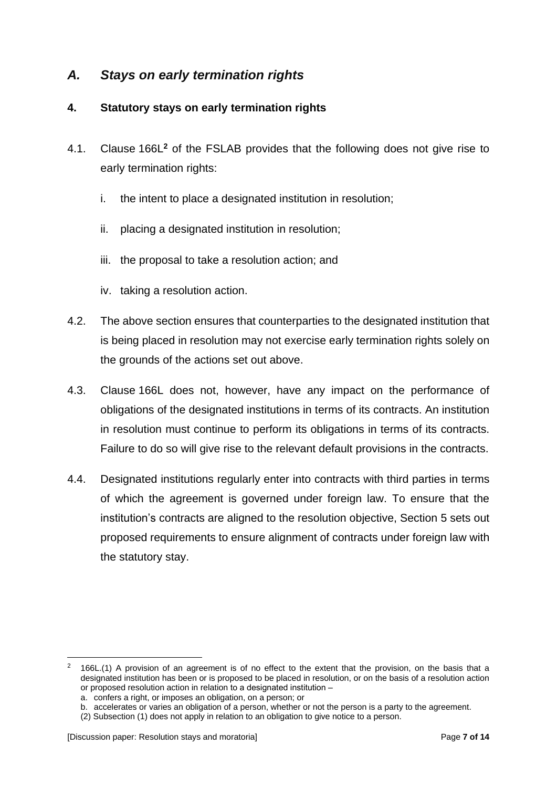# *A. Stays on early termination rights*

#### <span id="page-6-0"></span>**4. Statutory stays on early termination rights**

- 4.1. Clause 166L**<sup>2</sup>** of the FSLAB provides that the following does not give rise to early termination rights:
	- i. the intent to place a designated institution in resolution;
	- ii. placing a designated institution in resolution;
	- iii. the proposal to take a resolution action; and
	- iv. taking a resolution action.
- 4.2. The above section ensures that counterparties to the designated institution that is being placed in resolution may not exercise early termination rights solely on the grounds of the actions set out above.
- 4.3. Clause 166L does not, however, have any impact on the performance of obligations of the designated institutions in terms of its contracts. An institution in resolution must continue to perform its obligations in terms of its contracts. Failure to do so will give rise to the relevant default provisions in the contracts.
- 4.4. Designated institutions regularly enter into contracts with third parties in terms of which the agreement is governed under foreign law. To ensure that the institution's contracts are aligned to the resolution objective, Section 5 sets out proposed requirements to ensure alignment of contracts under foreign law with the statutory stay.

 $2$  166L.(1) A provision of an agreement is of no effect to the extent that the provision, on the basis that a designated institution has been or is proposed to be placed in resolution, or on the basis of a resolution action or proposed resolution action in relation to a designated institution –

a. confers a right, or imposes an obligation, on a person; or

b. accelerates or varies an obligation of a person, whether or not the person is a party to the agreement.

<sup>(2)</sup> Subsection (1) does not apply in relation to an obligation to give notice to a person.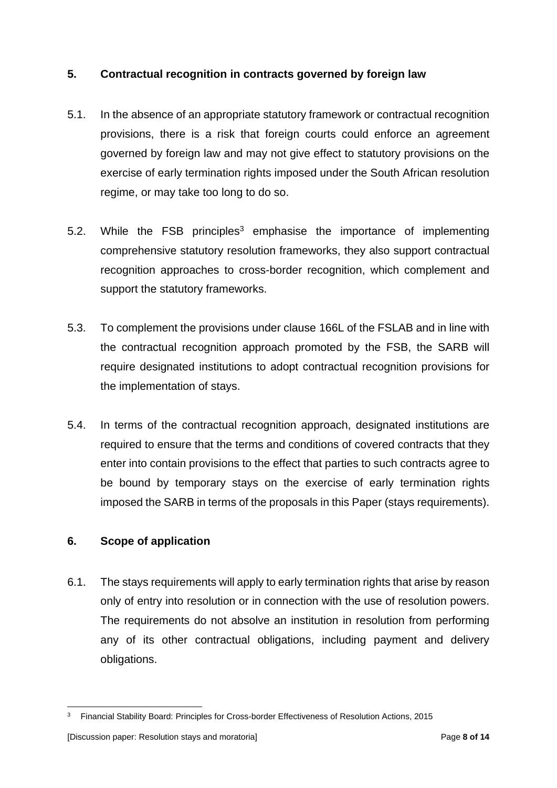#### <span id="page-7-0"></span>**5. Contractual recognition in contracts governed by foreign law**

- 5.1. In the absence of an appropriate statutory framework or contractual recognition provisions, there is a risk that foreign courts could enforce an agreement governed by foreign law and may not give effect to statutory provisions on the exercise of early termination rights imposed under the South African resolution regime, or may take too long to do so.
- 5.2. While the FSB principles<sup>3</sup> emphasise the importance of implementing comprehensive statutory resolution frameworks, they also support contractual recognition approaches to cross-border recognition, which complement and support the statutory frameworks.
- 5.3. To complement the provisions under clause 166L of the FSLAB and in line with the contractual recognition approach promoted by the FSB, the SARB will require designated institutions to adopt contractual recognition provisions for the implementation of stays.
- 5.4. In terms of the contractual recognition approach, designated institutions are required to ensure that the terms and conditions of covered contracts that they enter into contain provisions to the effect that parties to such contracts agree to be bound by temporary stays on the exercise of early termination rights imposed the SARB in terms of the proposals in this Paper (stays requirements).

## <span id="page-7-1"></span>**6. Scope of application**

6.1. The stays requirements will apply to early termination rights that arise by reason only of entry into resolution or in connection with the use of resolution powers. The requirements do not absolve an institution in resolution from performing any of its other contractual obligations, including payment and delivery obligations.

<sup>&</sup>lt;sup>3</sup> Financial Stability Board: Principles for Cross-border Effectiveness of Resolution Actions, 2015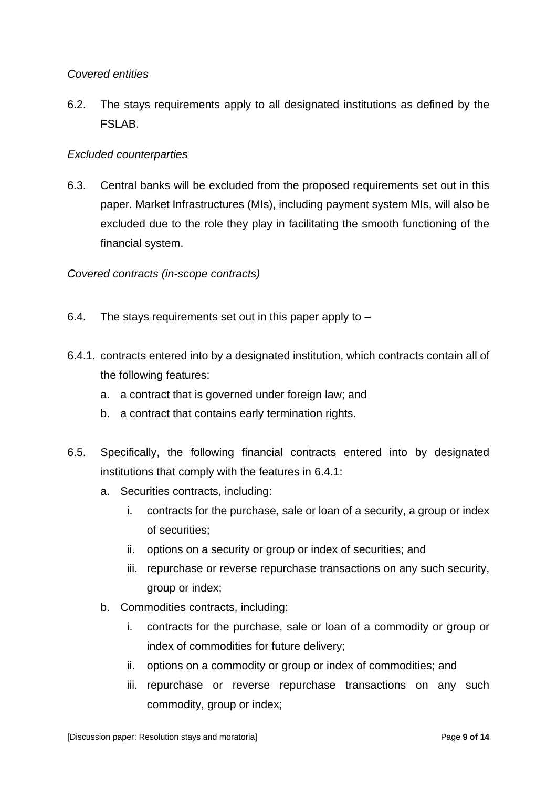#### *Covered entities*

6.2. The stays requirements apply to all designated institutions as defined by the FSLAB.

#### *Excluded counterparties*

6.3. Central banks will be excluded from the proposed requirements set out in this paper. Market Infrastructures (MIs), including payment system MIs, will also be excluded due to the role they play in facilitating the smooth functioning of the financial system.

#### *Covered contracts (in-scope contracts)*

- 6.4. The stays requirements set out in this paper apply to –
- 6.4.1. contracts entered into by a designated institution, which contracts contain all of the following features:
	- a. a contract that is governed under foreign law; and
	- b. a contract that contains early termination rights.
- 6.5. Specifically, the following financial contracts entered into by designated institutions that comply with the features in 6.4.1:
	- a. Securities contracts, including:
		- i. contracts for the purchase, sale or loan of a security, a group or index of securities;
		- ii. options on a security or group or index of securities; and
		- iii. repurchase or reverse repurchase transactions on any such security, group or index;
	- b. Commodities contracts, including:
		- i. contracts for the purchase, sale or loan of a commodity or group or index of commodities for future delivery;
		- ii. options on a commodity or group or index of commodities; and
		- iii. repurchase or reverse repurchase transactions on any such commodity, group or index;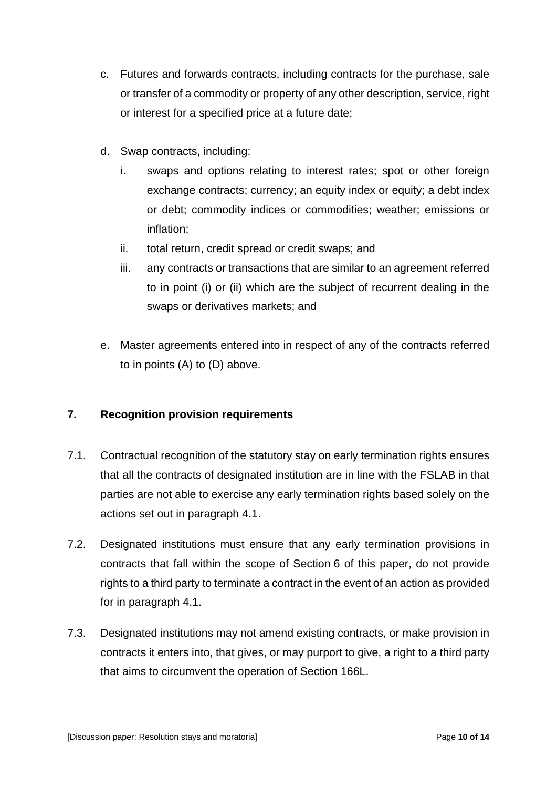- c. Futures and forwards contracts, including contracts for the purchase, sale or transfer of a commodity or property of any other description, service, right or interest for a specified price at a future date;
- d. Swap contracts, including:
	- i. swaps and options relating to interest rates; spot or other foreign exchange contracts; currency; an equity index or equity; a debt index or debt; commodity indices or commodities; weather; emissions or inflation;
	- ii. total return, credit spread or credit swaps; and
	- iii. any contracts or transactions that are similar to an agreement referred to in point (i) or (ii) which are the subject of recurrent dealing in the swaps or derivatives markets; and
- e. Master agreements entered into in respect of any of the contracts referred to in points (A) to (D) above.

## <span id="page-9-0"></span>**7. Recognition provision requirements**

- 7.1. Contractual recognition of the statutory stay on early termination rights ensures that all the contracts of designated institution are in line with the FSLAB in that parties are not able to exercise any early termination rights based solely on the actions set out in paragraph 4.1.
- 7.2. Designated institutions must ensure that any early termination provisions in contracts that fall within the scope of Section 6 of this paper, do not provide rights to a third party to terminate a contract in the event of an action as provided for in paragraph 4.1.
- 7.3. Designated institutions may not amend existing contracts, or make provision in contracts it enters into, that gives, or may purport to give, a right to a third party that aims to circumvent the operation of Section 166L.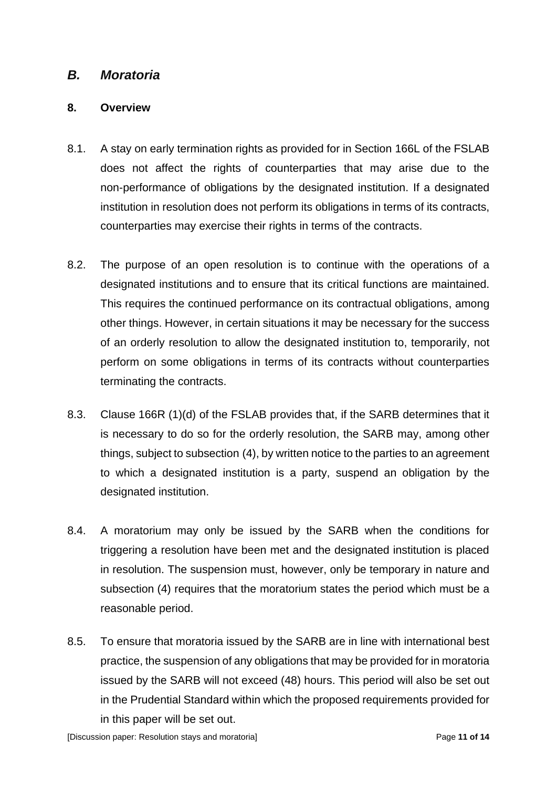# *B. Moratoria*

#### <span id="page-10-0"></span>**8. Overview**

- 8.1. A stay on early termination rights as provided for in Section 166L of the FSLAB does not affect the rights of counterparties that may arise due to the non-performance of obligations by the designated institution. If a designated institution in resolution does not perform its obligations in terms of its contracts, counterparties may exercise their rights in terms of the contracts.
- 8.2. The purpose of an open resolution is to continue with the operations of a designated institutions and to ensure that its critical functions are maintained. This requires the continued performance on its contractual obligations, among other things. However, in certain situations it may be necessary for the success of an orderly resolution to allow the designated institution to, temporarily, not perform on some obligations in terms of its contracts without counterparties terminating the contracts.
- 8.3. Clause 166R (1)(d) of the FSLAB provides that, if the SARB determines that it is necessary to do so for the orderly resolution, the SARB may, among other things, subject to subsection (4), by written notice to the parties to an agreement to which a designated institution is a party, suspend an obligation by the designated institution.
- 8.4. A moratorium may only be issued by the SARB when the conditions for triggering a resolution have been met and the designated institution is placed in resolution. The suspension must, however, only be temporary in nature and subsection (4) requires that the moratorium states the period which must be a reasonable period.
- 8.5. To ensure that moratoria issued by the SARB are in line with international best practice, the suspension of any obligations that may be provided for in moratoria issued by the SARB will not exceed (48) hours. This period will also be set out in the Prudential Standard within which the proposed requirements provided for in this paper will be set out.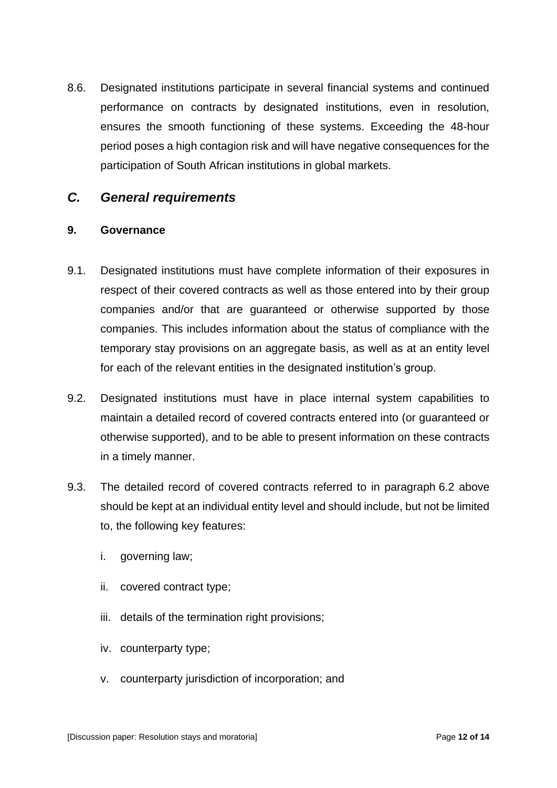8.6. Designated institutions participate in several financial systems and continued performance on contracts by designated institutions, even in resolution, ensures the smooth functioning of these systems. Exceeding the 48-hour period poses a high contagion risk and will have negative consequences for the participation of South African institutions in global markets.

# *C. General requirements*

#### <span id="page-11-0"></span>**9. Governance**

- 9.1. Designated institutions must have complete information of their exposures in respect of their covered contracts as well as those entered into by their group companies and/or that are guaranteed or otherwise supported by those companies. This includes information about the status of compliance with the temporary stay provisions on an aggregate basis, as well as at an entity level for each of the relevant entities in the designated institution's group.
- 9.2. Designated institutions must have in place internal system capabilities to maintain a detailed record of covered contracts entered into (or guaranteed or otherwise supported), and to be able to present information on these contracts in a timely manner.
- 9.3. The detailed record of covered contracts referred to in paragraph 6.2 above should be kept at an individual entity level and should include, but not be limited to, the following key features:
	- i. governing law;
	- ii. covered contract type;
	- iii. details of the termination right provisions;
	- iv. counterparty type;
	- v. counterparty jurisdiction of incorporation; and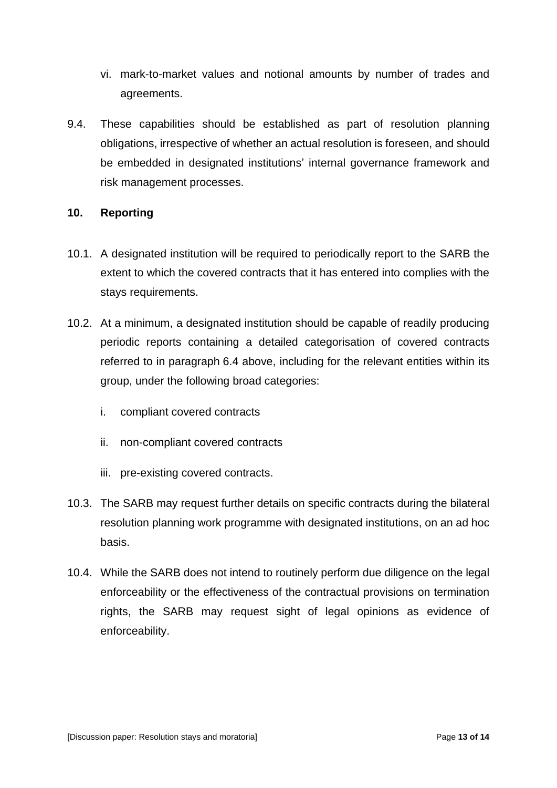- vi. mark-to-market values and notional amounts by number of trades and agreements.
- 9.4. These capabilities should be established as part of resolution planning obligations, irrespective of whether an actual resolution is foreseen, and should be embedded in designated institutions' internal governance framework and risk management processes.

#### <span id="page-12-0"></span>**10. Reporting**

- 10.1. A designated institution will be required to periodically report to the SARB the extent to which the covered contracts that it has entered into complies with the stays requirements.
- 10.2. At a minimum, a designated institution should be capable of readily producing periodic reports containing a detailed categorisation of covered contracts referred to in paragraph 6.4 above, including for the relevant entities within its group, under the following broad categories:
	- i. compliant covered contracts
	- ii. non-compliant covered contracts
	- iii. pre-existing covered contracts.
- 10.3. The SARB may request further details on specific contracts during the bilateral resolution planning work programme with designated institutions, on an ad hoc basis.
- 10.4. While the SARB does not intend to routinely perform due diligence on the legal enforceability or the effectiveness of the contractual provisions on termination rights, the SARB may request sight of legal opinions as evidence of enforceability.